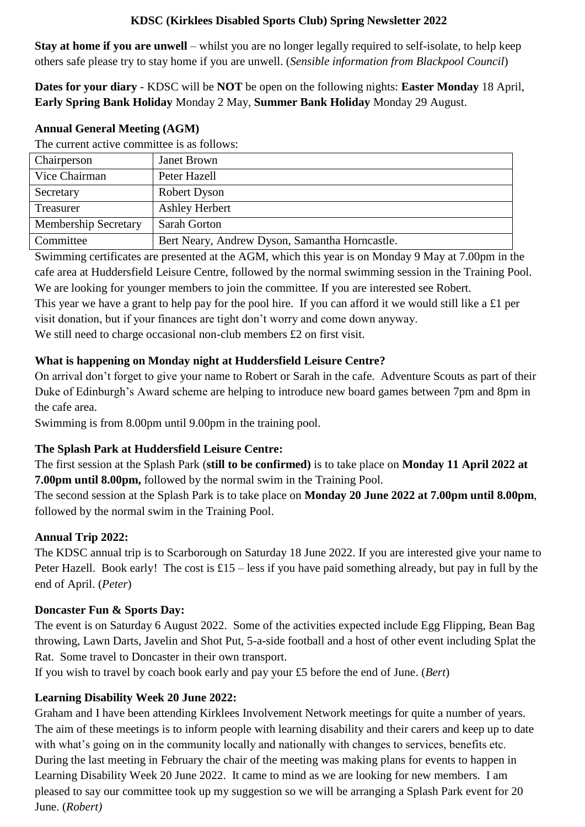## **KDSC (Kirklees Disabled Sports Club) Spring Newsletter 2022**

**Stay at home if you are unwell** – whilst you are no longer legally required to self-isolate, to help keep others safe please try to stay home if you are unwell. (*Sensible information from Blackpool Council*)

**Dates for your diary** - KDSC will be **NOT** be open on the following nights: **Easter Monday** 18 April, **Early Spring Bank Holiday** Monday 2 May, **Summer Bank Holiday** Monday 29 August.

### **Annual General Meeting (AGM)**

The current active committee is as follows:

| Chairperson                 | Janet Brown                                    |
|-----------------------------|------------------------------------------------|
| Vice Chairman               | Peter Hazell                                   |
| Secretary                   | Robert Dyson                                   |
| Treasurer                   | Ashley Herbert                                 |
| <b>Membership Secretary</b> | <b>Sarah Gorton</b>                            |
| Committee                   | Bert Neary, Andrew Dyson, Samantha Horncastle. |

Swimming certificates are presented at the AGM, which this year is on Monday 9 May at 7.00pm in the cafe area at Huddersfield Leisure Centre, followed by the normal swimming session in the Training Pool. We are looking for younger members to join the committee. If you are interested see Robert.

This year we have a grant to help pay for the pool hire. If you can afford it we would still like a £1 per visit donation, but if your finances are tight don't worry and come down anyway.

We still need to charge occasional non-club members £2 on first visit.

## **What is happening on Monday night at Huddersfield Leisure Centre?**

On arrival don't forget to give your name to Robert or Sarah in the cafe. Adventure Scouts as part of their Duke of Edinburgh's Award scheme are helping to introduce new board games between 7pm and 8pm in the cafe area.

Swimming is from 8.00pm until 9.00pm in the training pool.

# **The Splash Park at Huddersfield Leisure Centre:**

The first session at the Splash Park (**still to be confirmed)** is to take place on **Monday 11 April 2022 at 7.00pm until 8.00pm,** followed by the normal swim in the Training Pool.

The second session at the Splash Park is to take place on **Monday 20 June 2022 at 7.00pm until 8.00pm**, followed by the normal swim in the Training Pool.

## **Annual Trip 2022:**

The KDSC annual trip is to Scarborough on Saturday 18 June 2022. If you are interested give your name to Peter Hazell. Book early! The cost is  $£15 - less$  if you have paid something already, but pay in full by the end of April. (*Peter*)

## **Doncaster Fun & Sports Day:**

The event is on Saturday 6 August 2022. Some of the activities expected include Egg Flipping, Bean Bag throwing, Lawn Darts, Javelin and Shot Put, 5-a-side football and a host of other event including Splat the Rat. Some travel to Doncaster in their own transport.

If you wish to travel by coach book early and pay your £5 before the end of June. (*Bert*)

# **Learning Disability Week 20 June 2022:**

Graham and I have been attending Kirklees Involvement Network meetings for quite a number of years. The aim of these meetings is to inform people with learning disability and their carers and keep up to date with what's going on in the community locally and nationally with changes to services, benefits etc. During the last meeting in February the chair of the meeting was making plans for events to happen in Learning Disability Week 20 June 2022. It came to mind as we are looking for new members. I am pleased to say our committee took up my suggestion so we will be arranging a Splash Park event for 20 June. (*Robert)*